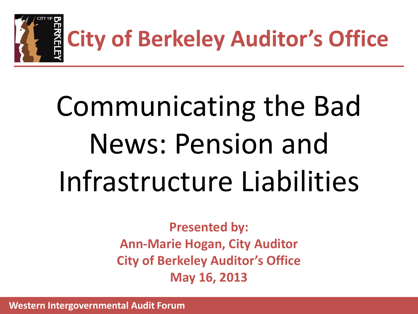

# Communicating the Bad News: Pension and Infrastructure Liabilities

**Presented by: Ann-Marie Hogan, City Auditor City of Berkeley Auditor's Office May 16, 2013**

 **Western Intergovernmental Audit Forum**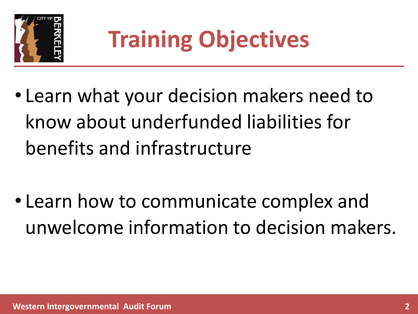

- Learn what your decision makers need to know about underfunded liabilities for benefits and infrastructure
- Learn how to communicate complex and unwelcome information to decision makers.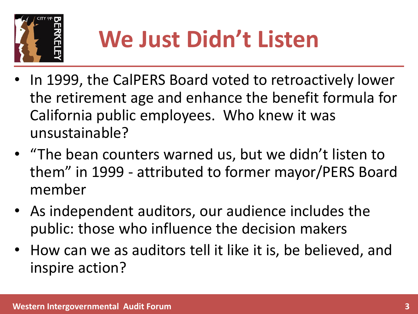

## **We Just Didn't Listen**

- In 1999, the CalPERS Board voted to retroactively lower the retirement age and enhance the benefit formula for California public employees. Who knew it was unsustainable?
- "The bean counters warned us, but we didn't listen to them" in 1999 - attributed to former mayor/PERS Board member
- As independent auditors, our audience includes the public: those who influence the decision makers
- How can we as auditors tell it like it is, be believed, and inspire action?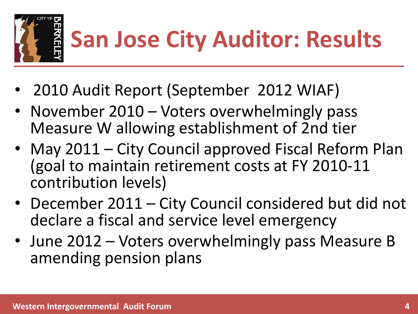

- 2010 Audit Report (September 2012 WIAF)
- November 2010 Voters overwhelmingly pass Measure W allowing establishment of 2nd tier
- May 2011 City Council approved Fiscal Reform Plan (goal to maintain retirement costs at FY 2010-11 contribution levels)
- December 2011 City Council considered but did not declare a fiscal and service level emergency
- June 2012 Voters overwhelmingly pass Measure B amending pension plans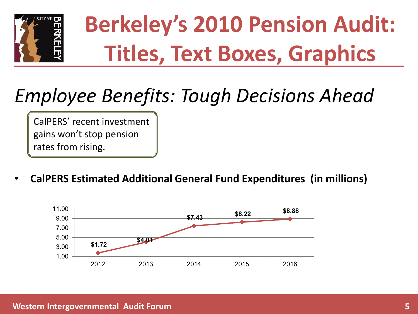

# **Berkeley's 2010 Pension Audit: Titles, Text Boxes, Graphics**

#### *Employee Benefits: Tough Decisions Ahead*

CalPERS' recent investment gains won't stop pension rates from rising.

• **CalPERS Estimated Additional General Fund Expenditures (in millions)**

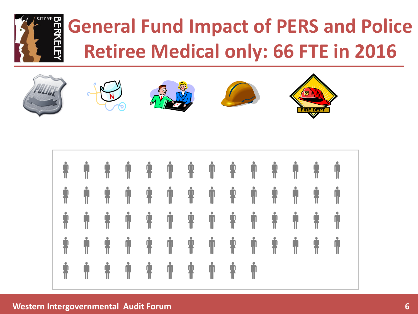

#### **General Fund Impact of PERS and Police Retiree Medical only: 66 FTE in 2016**













#### **Western Intergovernmental Audit Forum 6**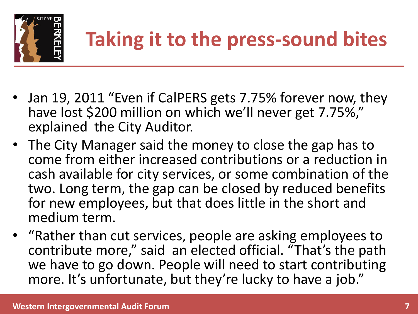

#### **Taking it to the press-sound bites**

- Jan 19, 2011 "Even if CalPERS gets 7.75% forever now, they have lost \$200 million on which we'll never get 7.75%," explained the City Auditor.
- The City Manager said the money to close the gap has to come from either increased contributions or a reduction in cash available for city services, or some combination of the two. Long term, the gap can be closed by reduced benefits for new employees, but that does little in the short and medium term.
- "Rather than cut services, people are asking employees to contribute more," said an elected official. "That's the path we have to go down. People will need to start contributing more. It's unfortunate, but they're lucky to have a job."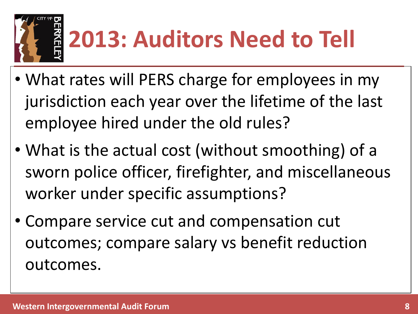

# **2013: Auditors Need to Tell**

- What rates will PERS charge for employees in my jurisdiction each year over the lifetime of the last employee hired under the old rules?
- What is the actual cost (without smoothing) of a sworn police officer, firefighter, and miscellaneous worker under specific assumptions?
- Compare service cut and compensation cut outcomes; compare salary vs benefit reduction outcomes.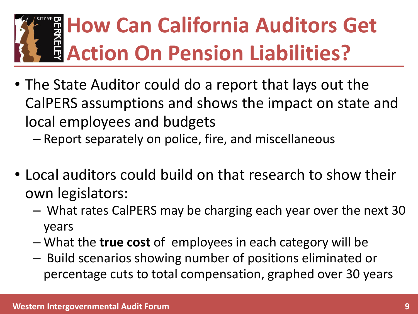#### **How Can California Auditors Get Action On Pension Liabilities?**

- The State Auditor could do a report that lays out the CalPERS assumptions and shows the impact on state and local employees and budgets
	- Report separately on police, fire, and miscellaneous
- Local auditors could build on that research to show their own legislators:
	- What rates CalPERS may be charging each year over the next 30 years
	- What the **true cost** of employees in each category will be
	- Build scenarios showing number of positions eliminated or percentage cuts to total compensation, graphed over 30 years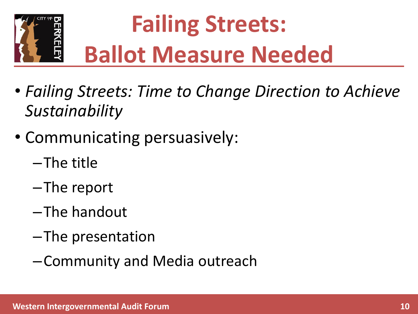

# **Failing Streets: Ballot Measure Needed**

- *Failing Streets: Time to Change Direction to Achieve Sustainability*
- Communicating persuasively:
	- –The title
	- –The report
	- –The handout
	- –The presentation
	- –Community and Media outreach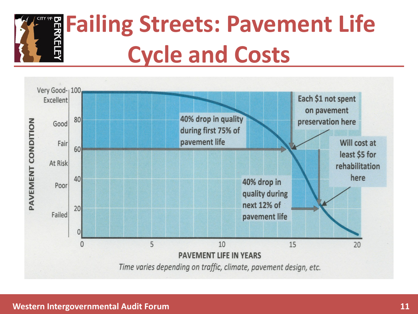

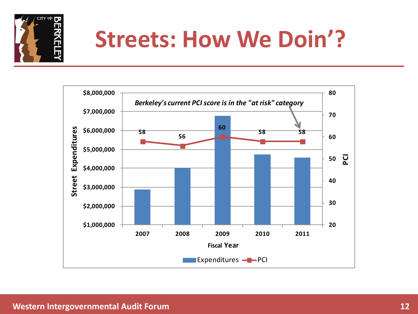

#### **Streets: How We Doin'?**

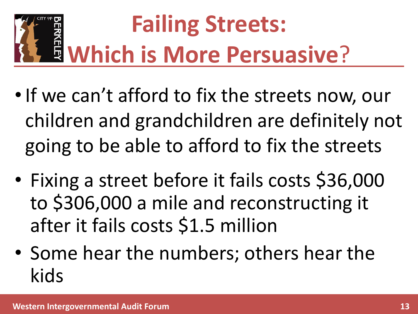# **Failing Streets: Which is More Persuasive**?

- •If we can't afford to fix the streets now, our children and grandchildren are definitely not going to be able to afford to fix the streets
- Fixing a street before it fails costs \$36,000 to \$306,000 a mile and reconstructing it after it fails costs \$1.5 million
- Some hear the numbers; others hear the kids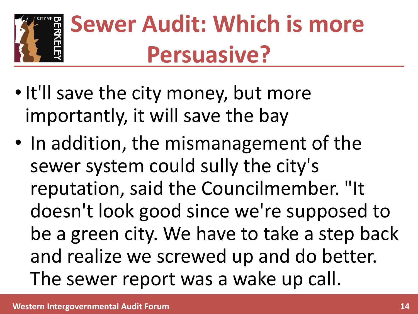

# **Sewer Audit: Which is more Persuasive?**

- It'll save the city money, but more importantly, it will save the bay
- In addition, the mismanagement of the sewer system could sully the city's reputation, said the Councilmember. "It doesn't look good since we're supposed to be a green city. We have to take a step back and realize we screwed up and do better. The sewer report was a wake up call.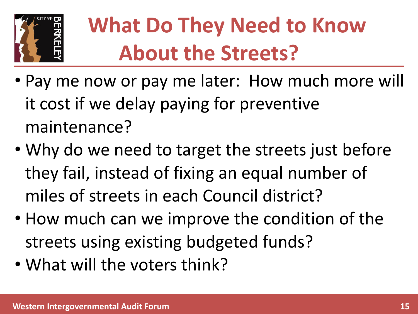

#### **What Do They Need to Know About the Streets?**

- Pay me now or pay me later: How much more will it cost if we delay paying for preventive maintenance?
- Why do we need to target the streets just before they fail, instead of fixing an equal number of miles of streets in each Council district?
- How much can we improve the condition of the streets using existing budgeted funds?
- What will the voters think?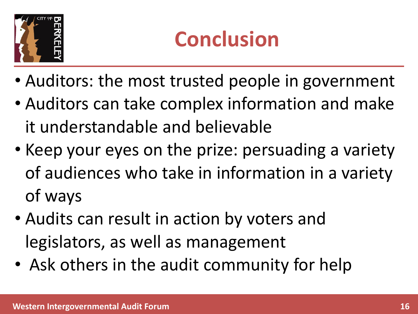

#### **Conclusion**

- Auditors: the most trusted people in government
- Auditors can take complex information and make it understandable and believable
- Keep your eyes on the prize: persuading a variety of audiences who take in information in a variety of ways
- Audits can result in action by voters and legislators, as well as management
- Ask others in the audit community for help